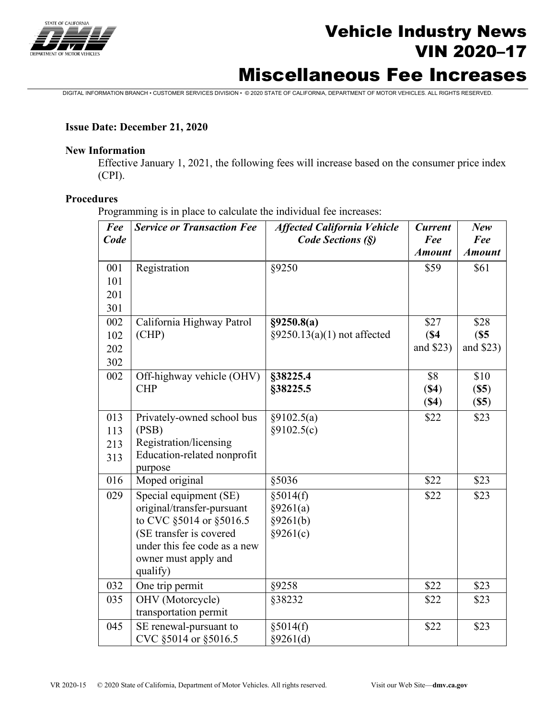

# Vehicle Industry News VIN 2020–17

# Miscellaneous Fee Increases

DIGITAL INFORMATION BRANCH • CUSTOMER SERVICES DIVISION • © 2020 STATE OF CALIFORNIA, DEPARTMENT OF MOTOR VEHICLES. ALL RIGHTS RESERVED.

#### **Issue Date: December 21, 2020**

#### **New Information**

Effective January 1, 2021, the following fees will increase based on the consumer price index (CPI).

#### **Procedures**

Programming is in place to calculate the individual fee increases:

| Fee<br>Code | <b>Service or Transaction Fee</b>                       | <b>Affected California Vehicle</b><br>Code Sections (§) | <b>Current</b><br>Fee | New<br>Fee    |
|-------------|---------------------------------------------------------|---------------------------------------------------------|-----------------------|---------------|
|             |                                                         |                                                         | <b>Amount</b>         | <b>Amount</b> |
| 001         | Registration                                            | §9250                                                   | \$59                  | \$61          |
| 101         |                                                         |                                                         |                       |               |
| 201         |                                                         |                                                         |                       |               |
| 301         |                                                         |                                                         |                       |               |
| 002         | California Highway Patrol                               | §9250.8(a)                                              | \$27                  | \$28          |
| 102         | (CHP)                                                   | $§9250.13(a)(1)$ not affected                           | (S4)                  | (S5)          |
| 202         |                                                         |                                                         | and \$23)             | and \$23)     |
| 302         |                                                         |                                                         |                       |               |
| 002         | Off-highway vehicle (OHV)                               | §38225.4                                                | \$8                   | \$10          |
|             | <b>CHP</b>                                              | §38225.5                                                | (S4)                  | (S5)          |
|             |                                                         |                                                         | (S4)                  | (S5)          |
| 013         | Privately-owned school bus                              | §9102.5(a)                                              | \$22                  | \$23          |
| 113         | (PSB)                                                   | §9102.5(c)                                              |                       |               |
| 213         | Registration/licensing                                  |                                                         |                       |               |
| 313         | Education-related nonprofit                             |                                                         |                       |               |
|             | purpose                                                 |                                                         |                       |               |
| 016         | Moped original                                          | §5036                                                   | \$22                  | \$23          |
| 029         | Special equipment (SE)                                  | §5014(f)                                                | \$22                  | \$23          |
|             | original/transfer-pursuant                              | §9261(a)                                                |                       |               |
|             | to CVC §5014 or §5016.5                                 | §9261(b)                                                |                       |               |
|             | (SE transfer is covered<br>under this fee code as a new | §9261(c)                                                |                       |               |
|             |                                                         |                                                         |                       |               |
|             | owner must apply and<br>qualify)                        |                                                         |                       |               |
| 032         |                                                         |                                                         | \$22                  | \$23          |
| 035         | One trip permit                                         | §9258                                                   |                       |               |
|             | OHV (Motorcycle)<br>transportation permit               | §38232                                                  | \$22                  | \$23          |
| 045         |                                                         |                                                         | \$22                  |               |
|             | SE renewal-pursuant to<br>CVC §5014 or §5016.5          | §5014(f)<br>§9261(d)                                    |                       | \$23          |
|             |                                                         |                                                         |                       |               |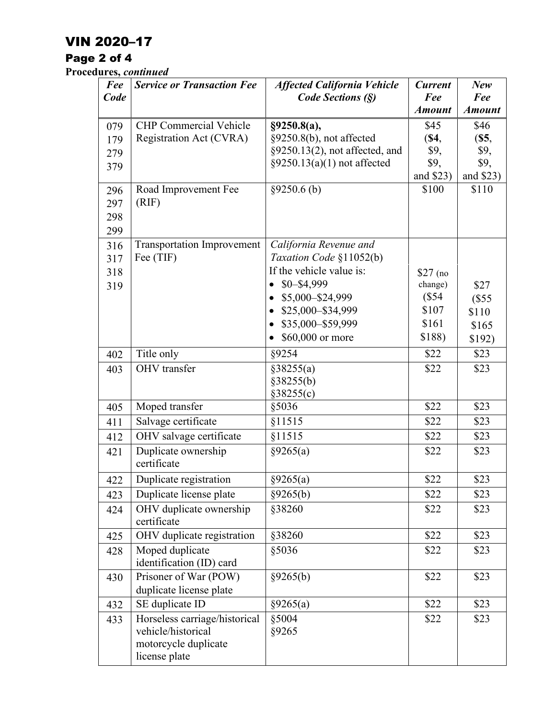## VIN 2020–17

## Page 2 of 4

**Procedures,** *continued*

| Fee        | <b>Service or Transaction Fee</b>                | <b>Affected California Vehicle</b>                | <b>Current</b>       | New                  |
|------------|--------------------------------------------------|---------------------------------------------------|----------------------|----------------------|
| Code       |                                                  | Code Sections (§)                                 | Fee<br><b>Amount</b> | Fee<br><b>Amount</b> |
| 079        | <b>CHP</b> Commercial Vehicle                    | §9250.8(a),                                       | \$45                 | \$46                 |
| 179        | Registration Act (CVRA)                          | §9250.8(b), not affected                          | (S4,                 | (S5,                 |
| 279        |                                                  | §9250.13(2), not affected, and                    | \$9,                 | \$9,                 |
| 379        |                                                  | $\S$ 9250.13(a)(1) not affected                   | \$9,                 | \$9,                 |
|            |                                                  |                                                   | and \$23)            | and \$23)            |
| 296        | Road Improvement Fee                             | §9250.6(b)                                        | \$100                | \$110                |
| 297        | (RIF)                                            |                                                   |                      |                      |
| 298        |                                                  |                                                   |                      |                      |
| 299        |                                                  |                                                   |                      |                      |
| 316        | <b>Transportation Improvement</b><br>Fee (TIF)   | California Revenue and<br>Taxation Code §11052(b) |                      |                      |
| 317<br>318 |                                                  | If the vehicle value is:                          |                      |                      |
| 319        |                                                  | $$0 - $4,999$<br>$\bullet$                        | $$27$ (no<br>change) | \$27                 |
|            |                                                  | \$5,000-\$24,999                                  | (\$54                | (\$55                |
|            |                                                  | \$25,000-\$34,999                                 | \$107                | \$110                |
|            |                                                  | \$35,000-\$59,999                                 | \$161                | \$165                |
|            |                                                  | \$60,000 or more                                  | \$188)               | \$192)               |
| 402        | Title only                                       | §9254                                             | \$22                 | \$23                 |
| 403        | OHV transfer                                     | §38255(a)                                         | \$22                 | \$23                 |
|            |                                                  | §38255(b)                                         |                      |                      |
|            |                                                  | §38255(c)                                         |                      |                      |
| 405        | Moped transfer                                   | §5036                                             | \$22                 | \$23                 |
| 411        | Salvage certificate                              | §11515                                            | \$22                 | \$23                 |
| 412        | OHV salvage certificate                          | §11515                                            | \$22                 | \$23                 |
| 421        | Duplicate ownership<br>certificate               | §9265(a)                                          | \$22                 | \$23                 |
| 422        | Duplicate registration                           | §9265(a)                                          | \$22                 | \$23                 |
| 423        | Duplicate license plate                          | §9265(b)                                          | \$22                 | \$23                 |
| 424        | OHV duplicate ownership<br>certificate           | §38260                                            | \$22                 | \$23                 |
| 425        | OHV duplicate registration                       | §38260                                            | \$22                 | \$23                 |
| 428        | Moped duplicate<br>identification (ID) card      | §5036                                             | \$22                 | \$23                 |
| 430        | Prisoner of War (POW)<br>duplicate license plate | §9265(b)                                          | \$22                 | \$23                 |
| 432        | SE duplicate ID                                  | §9265(a)                                          | \$22                 | \$23                 |
| 433        | Horseless carriage/historical                    | §5004                                             | \$22                 | \$23                 |
|            | vehicle/historical                               | §9265                                             |                      |                      |
|            | motorcycle duplicate                             |                                                   |                      |                      |
|            | license plate                                    |                                                   |                      |                      |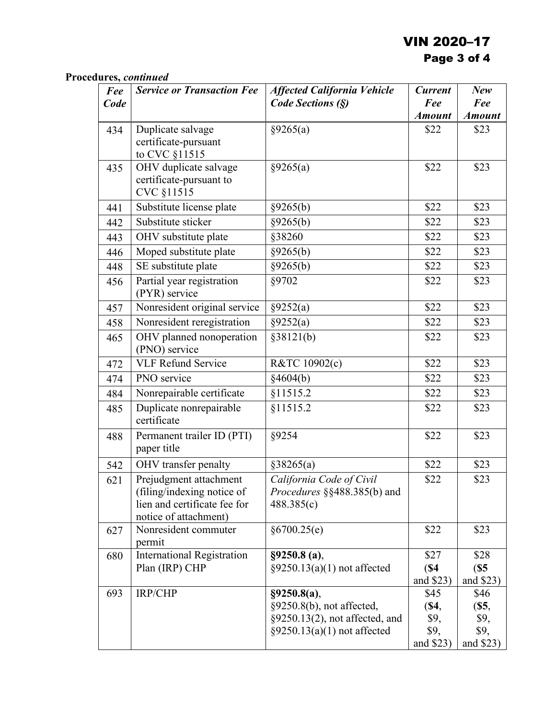## VIN 2020–17 Page 3 of 4

### **Procedures,** *continued*

| Fee  | <b>Service or Transaction Fee</b>                                                   | <b>Affected California Vehicle</b>               | <b>Current</b>            | New                       |
|------|-------------------------------------------------------------------------------------|--------------------------------------------------|---------------------------|---------------------------|
| Code |                                                                                     | Code Sections (§)                                | Fee                       | Fee                       |
|      |                                                                                     |                                                  | <b>Amount</b>             | <b>Amount</b>             |
| 434  | Duplicate salvage                                                                   | §9265(a)                                         | \$22                      | \$23                      |
|      | certificate-pursuant<br>to CVC §11515                                               |                                                  |                           |                           |
| 435  | OHV duplicate salvage<br>certificate-pursuant to<br>CVC §11515                      | §9265(a)                                         | \$22                      | \$23                      |
| 441  | Substitute license plate                                                            | §9265(b)                                         | \$22                      | \$23                      |
| 442  | Substitute sticker                                                                  | $\sqrt{$9265(b)}$                                | \$22                      | \$23                      |
| 443  | OHV substitute plate                                                                | §38260                                           | \$22                      | \$23                      |
| 446  | Moped substitute plate                                                              | §9265(b)                                         | \$22                      | \$23                      |
| 448  | SE substitute plate                                                                 | §9265(b)                                         | \$22                      | \$23                      |
| 456  | Partial year registration<br>(PYR) service                                          | §9702                                            | \$22                      | \$23                      |
| 457  | Nonresident original service                                                        | §9252(a)                                         | \$22                      | \$23                      |
| 458  | Nonresident reregistration                                                          | §9252(a)                                         | \$22                      | \$23                      |
| 465  | OHV planned nonoperation<br>(PNO) service                                           | §38121(b)                                        | \$22                      | \$23                      |
| 472  | <b>VLF Refund Service</b>                                                           | R&TC 10902(c)                                    | \$22                      | \$23                      |
| 474  | PNO service                                                                         | §4604(b)                                         | \$22                      | \$23                      |
| 484  | Nonrepairable certificate                                                           | §11515.2                                         | \$22                      | \$23                      |
| 485  | Duplicate nonrepairable<br>certificate                                              | §11515.2                                         | \$22                      | \$23                      |
| 488  | Permanent trailer ID (PTI)<br>paper title                                           | §9254                                            | \$22                      | \$23                      |
| 542  | OHV transfer penalty                                                                | §38265(a)                                        | \$22                      | \$23                      |
| 621  | Prejudgment attachment                                                              | California Code of Civil                         | \$22                      | \$23                      |
|      | (filing/indexing notice of<br>lien and certificate fee for<br>notice of attachment) | <i>Procedures</i> §§488.385(b) and<br>488.385(c) |                           |                           |
| 627  | Nonresident commuter<br>permit                                                      | §6700.25(e)                                      | \$22                      | \$23                      |
| 680  | <b>International Registration</b><br>Plan (IRP) CHP                                 | §9250.8(a),<br>$\S$ 9250.13(a)(1) not affected   | \$27<br>(S4)<br>and \$23) | \$28<br>(S5)<br>and \$23) |
| 693  | IRP/CHP                                                                             | §9250.8(a),                                      | \$45                      | \$46                      |
|      |                                                                                     | §9250.8(b), not affected,                        | <b>(\$4,</b>              | (S5,                      |
|      |                                                                                     | §9250.13(2), not affected, and                   | \$9,                      | \$9,                      |
|      |                                                                                     | $\S$ 9250.13(a)(1) not affected                  | \$9,                      | \$9,                      |
|      |                                                                                     |                                                  | and \$23)                 | and \$23)                 |